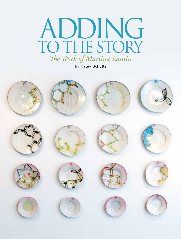## ADDING to the Story *The Work of Martina Lantin*

by Katey Schultz

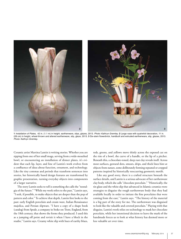

**1** *Installation of Plates*, 42 in. (1.1 m) in height, earthenware, slips, glazes, 2013. *Photo: Kathryn Gremley*. **2** Large vase with quatrefoil decoration, 11 in. (28 cm) in height, wheel-thrown and altered earthenware, slip, glaze, 2013. **3** Six-stem flowerbrick, handbuilt and extruded earthenware, slip, glazes, 2013. *Photo: Kathryn Gremley*.

Ceramic artist Martina Lantin is writing stories. Whether you are sipping from one of her small mugs, serving from a wide-mouthed bowl, or encountering an installation of dinner plates, it's evident that each lip, layer, and line of Lantin's work evolves from a confluence of ideas about function, ornament, and technology. Like the tiny commas and periods that transform sentences into stories, her historically based design features are transformed by graphic presentation, turning everyday objects into components of a larger narrative.

The story Lantin seeks to tell is something she calls the "nostalgia of the future." "While my work refers to the past," Lantin says, "I seek, if possible, to make objects that are deeper than the pop of pattern and color." To achieve that depth, Lantin first looks to the past: early English porcelain and cream ware, Italian Renaissance majolica, and Persian slipware. "I have a copy of a shape book (catalog) from Spode, a company in Stoke-on-Trent, England, from the 18th century, that shows the forms they produced. I used this as a jumping off point and revisit it when I have a block in the studio," Lantin says. Creamy white slip with hues of earthy blues,

reds, greens, and yellows move thinly across the exposed cut on the rim of a bowl, the curve of a handle, or the lip of a pitcher. Beneath this, a chocolate-toned, deep rust clay reveals itself. Across most surfaces, gestural dots, smears, drips, and thick lines hint at objects from nature, some deliberately forming repeated or cropped patterns inspired by historically reoccurring geometric motifs.

Like any good story, there is a crafted structure beneath the surface details, and Lantin is a serious advocate of her earthenware clay body, which she calls "chocolate porcelain." "Historically, the tin glaze and the white slip that advanced in Islamic ceramics were strategies to disguise the rough earthenware body that they had available locally in order to imitate the fine porcelains that were coming from the east," Lantin says. "The history of the material is a big part of the story for me. The earthenware was disguised to look like the valuable and coveted porcelain." Playing with that disguise, Lantin's work relies on technology to mask her chocolate porcelain, while her intentional decision to leave the mark of the handmade forces us to look at what history has deemed more or less valuable art over time.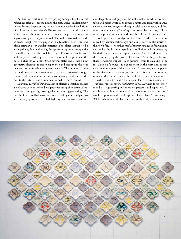But Lantin's work is not strictly paying homage. Her historical references offer a respectful nod to the past, as she simultaneously moves forward by presenting her work in provocative installations of call and response. *Family Dinner* features six round, creamy white dinner plates and nine matching snack plates arranged in a geometric pattern against a wall. The wall is covered in handscreened, bright red wallpaper with alternating deep gray and black circular or triangular patterns. The plates appear to be arranged lengthwise, drawing the eye from top to bottom; while the wallpaper draws the eye left to right. Remove a plate for use, and the pattern is disrupted. Remove another for a guest, and the pattern changes yet again. Swap several plates and create a new geometry, altering the entire experience and setting up the next new encounter for whoever greets the work. The more each piece in the dinner set is used—removed, replaced, re-set—the longer the story of these objects becomes, connecting the threads of the past to the future Lantin is so determined to move toward.

Likewise, in *Hall of Standing*, a set of platters is installed against a backdrop of hand-printed wallpaper featuring silhouettes of human teeth and ghostly, floating silverware to suggest eating. The details of the installation—from floor to ceiling to mantelpiece are thoroughly considered. Dark lighting casts dramatic shadows, and deep blues and grays on the walls make the white, wooden table and luster-white slips appear illuminated from within. And yet we are meant to gather there; to celebrate, converse, and find nourishment. *Hall of Standing* is informed by the past, calls us into the present moment, and propels us forward into reaction.

So begins our "nostalgia of the future," where viewers are moved by history, technology, and design to write the stories of their own futures. Whether *Hall of Standing* makes us feel warmed and invited by its quiet, spacious installation or intimidated by its dark undertones and appearance of "perfect" domesticity, there's no denying the power of the work. According to Lantin, that's her desired impact. "Each gesture—from the making to the installation of a piece—is a component in the story and in that way becomes a part of the narrative…I then imagine the power of the viewer to take the objects further…At a certain point, all of my work aspires to be an object of reflection and reaction."

Other works by Lantin that are similar in nature include *Rear Wall* and, more recently, *Installation of Plates*, which focus less on mood or stage-setting and more on patterns and repetition. "I was interested how various surface treatments of the same motif would appear over the wide spread of the plates," Lantin says. While each individual plate functions aesthetically and in terms of

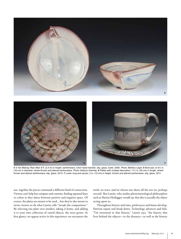

**4** *In the Making: Rear Wall*, 8 ft. (2.4 m) in height, earthenware, toner-resist transfer, slip, glaze, luster, 2009. *Photo: Mathieu Léger.* **5** Bowl pair, to 6¼ in. (16 cm) in diameter, wheel-thrown and altered earthenware. *Photo: Kathryn Gremley*. **6** Platter with multiple decoration, 11½ in. (29 cm) in length, wheelthrown and altered earthenware, slip, glaze, 2013. **7** Luster mug and saucer, 4 in. (10 cm) in height, thrown and altered earthenware, slip, glaze, 2011.

use, together the pieces command a different kind of connection. Viewers can't help but compare and contrast, finding repeated lines or colors as they dance between positive and negative space. Of course, the plates are meant to be used…but they're also meant to invite viewers to do what Lantin calls "invade the composition." By selecting one plate over another, taking it home, and adding it to your own collection of varied objects, the story grows. At first glance, we appear active in this experience: we encounter the

work, we react, and we choose one above all the rest (or, perhaps several). But Lantin, who studies phenomenological philosophers such as Martin Heidegger, would say that this is actually the object acting upon us.

**6 7**

Throughout history and time, preferences and biases develop. Patterns repeat and break down. Technology advances and fails. "I'm interested in that history," Lantin says, "the history that lives behind the objects—in the distance—as well as the history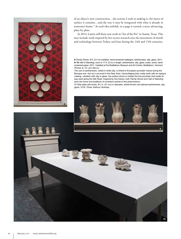

of an object's own construction…the actions I took in making it, the layers of surface it contains…and the way it may be integrated with what is already in someone's home." As each idea unfolds, so a page is turned; a story advancing, plate by plate.

In 2014, Lantin will show new work in "Art of the Pot" in Austin, Texas. This may include work inspired by her recent research into the movement of motifs and technology between Turkey and Iran during the 14th and 15th centuries.

**8** *Family Dinner*, 8 ft. (2.4 m) installed, hand-screened wallpaper, earthenware, slip, glaze, 2011. **9–10** *Hall of Standing*, room is 17 ft. (5 m) in length, earthenware, slip, glaze, luster, wood, handscreened paper, 2011. Installed at the Brattleboro Museum and Art Center, Brattleboro, Vermont. *Photos 8–10: Jen Morris.*

The use of earthenware, veiled in white slip, is linked to European porcelain mania during the Baroque era—but as it occurred in the Near East. Camouflaging their ruddy earth with an opaque coating—whether with slip or glaze, the potters strove to imitate the fine porcelain that made its way west along the Silk Road. Inspired by this history, both *Family Dinner* and *Hall of Standing* echo the forms and traditions of ornament central to this phenomenon.

**11** Side plate with blush, 8¼ in. (21 cm) in diameter, wheel-thrown and altered earthenware, slip, glaze, 2103. *Photo: Kathryn Gremley*.